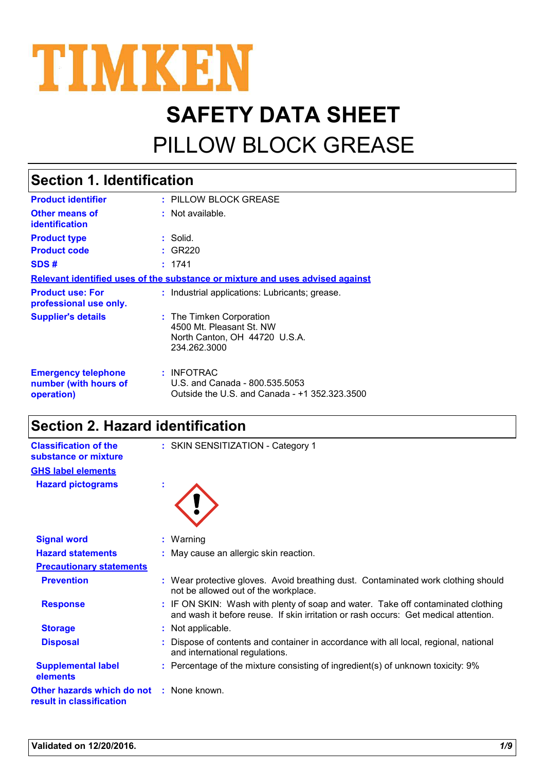

# **SAFETY DATA SHEET** PILLOW BLOCK GREASE

| <b>Section 1. Identification</b>                                  |                                                                                                       |  |
|-------------------------------------------------------------------|-------------------------------------------------------------------------------------------------------|--|
| <b>Product identifier</b>                                         | : PILLOW BLOCK GREASE                                                                                 |  |
| <b>Other means of</b><br><b>identification</b>                    | $:$ Not available.                                                                                    |  |
| <b>Product type</b>                                               | : Solid.                                                                                              |  |
| <b>Product code</b>                                               | : GR220                                                                                               |  |
| SDS#                                                              | : 1741                                                                                                |  |
|                                                                   | Relevant identified uses of the substance or mixture and uses advised against                         |  |
| <b>Product use: For</b><br>professional use only.                 | : Industrial applications: Lubricants; grease.                                                        |  |
| <b>Supplier's details</b>                                         | : The Timken Corporation<br>4500 Mt. Pleasant St. NW<br>North Canton, OH 44720 U.S.A.<br>234.262.3000 |  |
| <b>Emergency telephone</b><br>number (with hours of<br>operation) | : INFOTRAC<br>U.S. and Canada - 800.535.5053<br>Outside the U.S. and Canada - +1 352.323.3500         |  |

### **Section 2. Hazard identification**

| <b>Classification of the</b><br>substance or mixture   | : SKIN SENSITIZATION - Category 1                                                                                                                                     |
|--------------------------------------------------------|-----------------------------------------------------------------------------------------------------------------------------------------------------------------------|
| <b>GHS label elements</b>                              |                                                                                                                                                                       |
| <b>Hazard pictograms</b>                               | t                                                                                                                                                                     |
| <b>Signal word</b>                                     | Warning                                                                                                                                                               |
| <b>Hazard statements</b>                               | : May cause an allergic skin reaction.                                                                                                                                |
| <b>Precautionary statements</b>                        |                                                                                                                                                                       |
| <b>Prevention</b>                                      | : Wear protective gloves. Avoid breathing dust. Contaminated work clothing should<br>not be allowed out of the workplace.                                             |
| <b>Response</b>                                        | IF ON SKIN: Wash with plenty of soap and water. Take off contaminated clothing<br>and wash it before reuse. If skin irritation or rash occurs: Get medical attention. |
| <b>Storage</b>                                         | Not applicable.                                                                                                                                                       |
| <b>Disposal</b>                                        | Dispose of contents and container in accordance with all local, regional, national<br>and international regulations.                                                  |
| <b>Supplemental label</b><br>elements                  | : Percentage of the mixture consisting of ingredient(s) of unknown toxicity: 9%                                                                                       |
| Other hazards which do not<br>result in classification | : None known.                                                                                                                                                         |
|                                                        |                                                                                                                                                                       |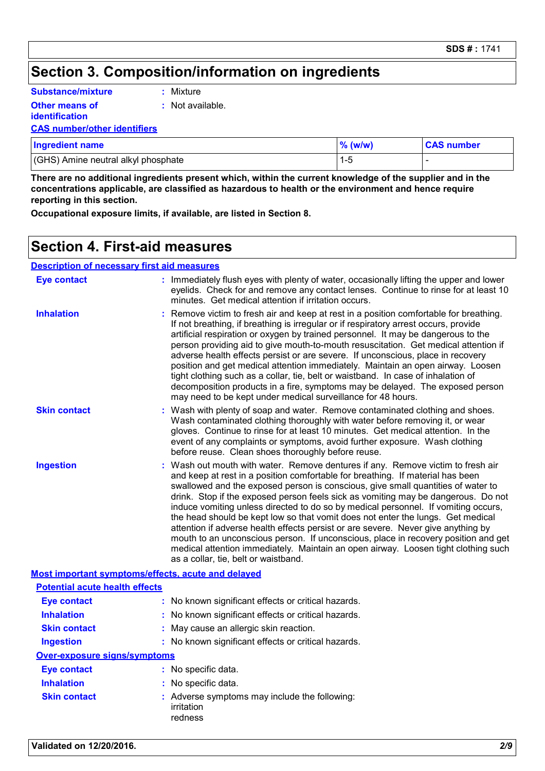### **Section 3. Composition/information on ingredients**

| <b>Substance/mixture</b> |  |
|--------------------------|--|
| <b>Other means of</b>    |  |

**:** Mixture

**:** Not available.

#### **CAS number/other identifiers**

**identification**

| <b>Ingredient name</b>              | $\%$ (w/w) | <b>CAS number</b> |
|-------------------------------------|------------|-------------------|
| (GHS) Amine neutral alkyl phosphate |            |                   |

**There are no additional ingredients present which, within the current knowledge of the supplier and in the concentrations applicable, are classified as hazardous to health or the environment and hence require reporting in this section.**

**Occupational exposure limits, if available, are listed in Section 8.**

#### **Section 4. First-aid measures**

#### **Description of necessary first aid measures**

| <b>Eye contact</b>                                 | : Immediately flush eyes with plenty of water, occasionally lifting the upper and lower<br>eyelids. Check for and remove any contact lenses. Continue to rinse for at least 10<br>minutes. Get medical attention if irritation occurs.                                                                                                                                                                                                                                                                                                                                                                                                                                                                                                                                                                                     |  |  |
|----------------------------------------------------|----------------------------------------------------------------------------------------------------------------------------------------------------------------------------------------------------------------------------------------------------------------------------------------------------------------------------------------------------------------------------------------------------------------------------------------------------------------------------------------------------------------------------------------------------------------------------------------------------------------------------------------------------------------------------------------------------------------------------------------------------------------------------------------------------------------------------|--|--|
| <b>Inhalation</b>                                  | Remove victim to fresh air and keep at rest in a position comfortable for breathing.<br>If not breathing, if breathing is irregular or if respiratory arrest occurs, provide<br>artificial respiration or oxygen by trained personnel. It may be dangerous to the<br>person providing aid to give mouth-to-mouth resuscitation. Get medical attention if<br>adverse health effects persist or are severe. If unconscious, place in recovery<br>position and get medical attention immediately. Maintain an open airway. Loosen<br>tight clothing such as a collar, tie, belt or waistband. In case of inhalation of<br>decomposition products in a fire, symptoms may be delayed. The exposed person<br>may need to be kept under medical surveillance for 48 hours.                                                       |  |  |
| <b>Skin contact</b>                                | : Wash with plenty of soap and water. Remove contaminated clothing and shoes.<br>Wash contaminated clothing thoroughly with water before removing it, or wear<br>gloves. Continue to rinse for at least 10 minutes. Get medical attention. In the<br>event of any complaints or symptoms, avoid further exposure. Wash clothing<br>before reuse. Clean shoes thoroughly before reuse.                                                                                                                                                                                                                                                                                                                                                                                                                                      |  |  |
| <b>Ingestion</b>                                   | Wash out mouth with water. Remove dentures if any. Remove victim to fresh air<br>and keep at rest in a position comfortable for breathing. If material has been<br>swallowed and the exposed person is conscious, give small quantities of water to<br>drink. Stop if the exposed person feels sick as vomiting may be dangerous. Do not<br>induce vomiting unless directed to do so by medical personnel. If vomiting occurs,<br>the head should be kept low so that vomit does not enter the lungs. Get medical<br>attention if adverse health effects persist or are severe. Never give anything by<br>mouth to an unconscious person. If unconscious, place in recovery position and get<br>medical attention immediately. Maintain an open airway. Loosen tight clothing such<br>as a collar, tie, belt or waistband. |  |  |
| Most important symptoms/effects, acute and delayed |                                                                                                                                                                                                                                                                                                                                                                                                                                                                                                                                                                                                                                                                                                                                                                                                                            |  |  |
| <b>Potential acute health effects</b>              |                                                                                                                                                                                                                                                                                                                                                                                                                                                                                                                                                                                                                                                                                                                                                                                                                            |  |  |
| <b>Eye contact</b>                                 | : No known significant effects or critical hazards.                                                                                                                                                                                                                                                                                                                                                                                                                                                                                                                                                                                                                                                                                                                                                                        |  |  |
| <b>Inhalation</b>                                  | No known significant effects or critical hazards.                                                                                                                                                                                                                                                                                                                                                                                                                                                                                                                                                                                                                                                                                                                                                                          |  |  |
| <b>Skin contact</b>                                | May cause an allergic skin reaction.                                                                                                                                                                                                                                                                                                                                                                                                                                                                                                                                                                                                                                                                                                                                                                                       |  |  |
| <b>Ingestion</b>                                   | : No known significant effects or critical hazards.                                                                                                                                                                                                                                                                                                                                                                                                                                                                                                                                                                                                                                                                                                                                                                        |  |  |
| Over-exposure signs/symptoms                       |                                                                                                                                                                                                                                                                                                                                                                                                                                                                                                                                                                                                                                                                                                                                                                                                                            |  |  |
| <b>Eye contact</b>                                 | : No specific data.                                                                                                                                                                                                                                                                                                                                                                                                                                                                                                                                                                                                                                                                                                                                                                                                        |  |  |
| <b>Inhalation</b>                                  | : No specific data.                                                                                                                                                                                                                                                                                                                                                                                                                                                                                                                                                                                                                                                                                                                                                                                                        |  |  |
| <b>Skin contact</b>                                | : Adverse symptoms may include the following:<br>irritation<br>redness                                                                                                                                                                                                                                                                                                                                                                                                                                                                                                                                                                                                                                                                                                                                                     |  |  |
|                                                    |                                                                                                                                                                                                                                                                                                                                                                                                                                                                                                                                                                                                                                                                                                                                                                                                                            |  |  |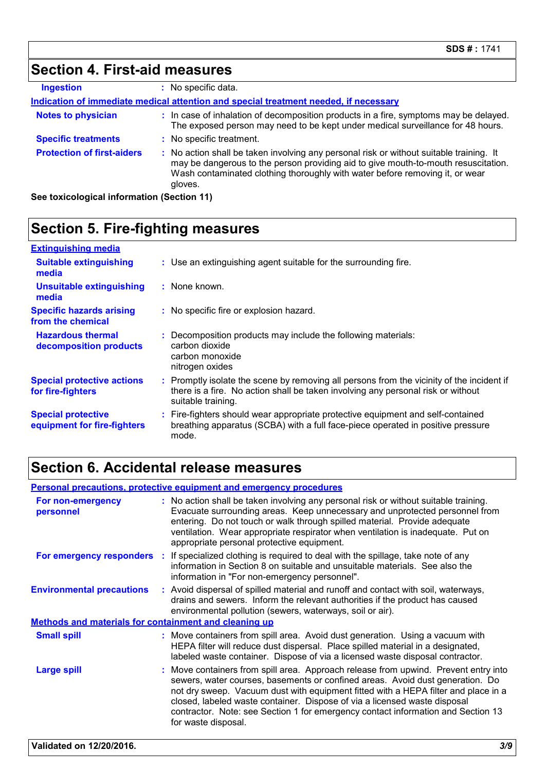### **Section 4. First-aid measures**

| <b>Ingestion</b>                  | : No specific data.                                                                                                                                                                                                                                                      |
|-----------------------------------|--------------------------------------------------------------------------------------------------------------------------------------------------------------------------------------------------------------------------------------------------------------------------|
|                                   | Indication of immediate medical attention and special treatment needed, if necessary                                                                                                                                                                                     |
| <b>Notes to physician</b>         | : In case of inhalation of decomposition products in a fire, symptoms may be delayed.<br>The exposed person may need to be kept under medical surveillance for 48 hours.                                                                                                 |
| <b>Specific treatments</b>        | : No specific treatment.                                                                                                                                                                                                                                                 |
| <b>Protection of first-aiders</b> | : No action shall be taken involving any personal risk or without suitable training. It<br>may be dangerous to the person providing aid to give mouth-to-mouth resuscitation.<br>Wash contaminated clothing thoroughly with water before removing it, or wear<br>gloves. |

**See toxicological information (Section 11)**

### **Section 5. Fire-fighting measures**

| <b>Extinguishing media</b>                               |                                                                                                                                                                                                     |
|----------------------------------------------------------|-----------------------------------------------------------------------------------------------------------------------------------------------------------------------------------------------------|
| <b>Suitable extinguishing</b><br>media                   | : Use an extinguishing agent suitable for the surrounding fire.                                                                                                                                     |
| <b>Unsuitable extinguishing</b><br>media                 | : None known.                                                                                                                                                                                       |
| <b>Specific hazards arising</b><br>from the chemical     | : No specific fire or explosion hazard.                                                                                                                                                             |
| <b>Hazardous thermal</b><br>decomposition products       | : Decomposition products may include the following materials:<br>carbon dioxide<br>carbon monoxide<br>nitrogen oxides                                                                               |
| <b>Special protective actions</b><br>for fire-fighters   | : Promptly isolate the scene by removing all persons from the vicinity of the incident if<br>there is a fire. No action shall be taken involving any personal risk or without<br>suitable training. |
| <b>Special protective</b><br>equipment for fire-fighters | : Fire-fighters should wear appropriate protective equipment and self-contained<br>breathing apparatus (SCBA) with a full face-piece operated in positive pressure<br>mode.                         |

### **Section 6. Accidental release measures**

| <b>Personal precautions, protective equipment and emergency procedures</b> |                                                                                                                                                                                                                                                                                                                                                                                                                                                    |  |  |
|----------------------------------------------------------------------------|----------------------------------------------------------------------------------------------------------------------------------------------------------------------------------------------------------------------------------------------------------------------------------------------------------------------------------------------------------------------------------------------------------------------------------------------------|--|--|
| For non-emergency<br>personnel                                             | : No action shall be taken involving any personal risk or without suitable training.<br>Evacuate surrounding areas. Keep unnecessary and unprotected personnel from<br>entering. Do not touch or walk through spilled material. Provide adequate<br>ventilation. Wear appropriate respirator when ventilation is inadequate. Put on<br>appropriate personal protective equipment.                                                                  |  |  |
|                                                                            | For emergency responders : If specialized clothing is required to deal with the spillage, take note of any<br>information in Section 8 on suitable and unsuitable materials. See also the<br>information in "For non-emergency personnel".                                                                                                                                                                                                         |  |  |
| <b>Environmental precautions</b>                                           | : Avoid dispersal of spilled material and runoff and contact with soil, waterways,<br>drains and sewers. Inform the relevant authorities if the product has caused<br>environmental pollution (sewers, waterways, soil or air).                                                                                                                                                                                                                    |  |  |
| Methods and materials for containment and cleaning up                      |                                                                                                                                                                                                                                                                                                                                                                                                                                                    |  |  |
| <b>Small spill</b>                                                         | : Move containers from spill area. Avoid dust generation. Using a vacuum with<br>HEPA filter will reduce dust dispersal. Place spilled material in a designated,<br>labeled waste container. Dispose of via a licensed waste disposal contractor.                                                                                                                                                                                                  |  |  |
| <b>Large spill</b>                                                         | : Move containers from spill area. Approach release from upwind. Prevent entry into<br>sewers, water courses, basements or confined areas. Avoid dust generation. Do<br>not dry sweep. Vacuum dust with equipment fitted with a HEPA filter and place in a<br>closed, labeled waste container. Dispose of via a licensed waste disposal<br>contractor. Note: see Section 1 for emergency contact information and Section 13<br>for waste disposal. |  |  |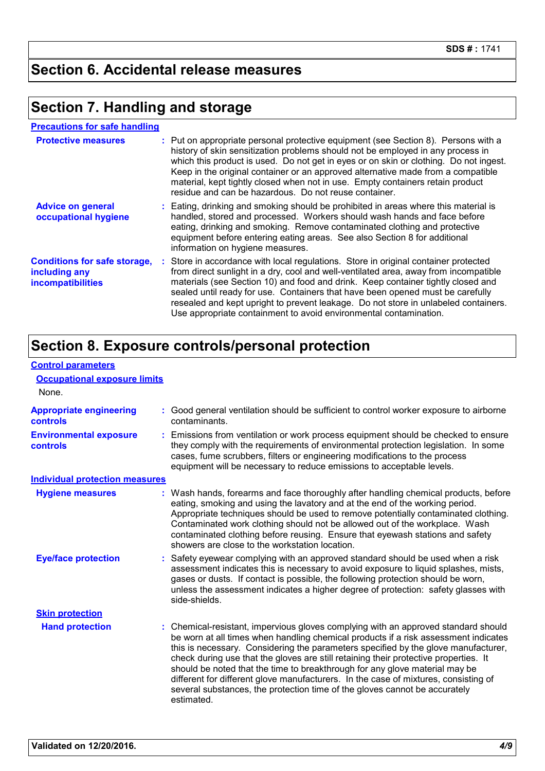### **Section 6. Accidental release measures**

#### **Section 7. Handling and storage**

| <b>Precautions for safe handling</b>                                             |  |                                                                                                                                                                                                                                                                                                                                                                                                                                                                                                               |  |
|----------------------------------------------------------------------------------|--|---------------------------------------------------------------------------------------------------------------------------------------------------------------------------------------------------------------------------------------------------------------------------------------------------------------------------------------------------------------------------------------------------------------------------------------------------------------------------------------------------------------|--|
| <b>Protective measures</b>                                                       |  | : Put on appropriate personal protective equipment (see Section 8). Persons with a<br>history of skin sensitization problems should not be employed in any process in<br>which this product is used. Do not get in eyes or on skin or clothing. Do not ingest.<br>Keep in the original container or an approved alternative made from a compatible<br>material, kept tightly closed when not in use. Empty containers retain product<br>residue and can be hazardous. Do not reuse container.                 |  |
| <b>Advice on general</b><br>occupational hygiene                                 |  | : Eating, drinking and smoking should be prohibited in areas where this material is<br>handled, stored and processed. Workers should wash hands and face before<br>eating, drinking and smoking. Remove contaminated clothing and protective<br>equipment before entering eating areas. See also Section 8 for additional<br>information on hygiene measures.                                                                                                                                                 |  |
| <b>Conditions for safe storage,</b><br>including any<br><b>incompatibilities</b> |  | : Store in accordance with local regulations. Store in original container protected<br>from direct sunlight in a dry, cool and well-ventilated area, away from incompatible<br>materials (see Section 10) and food and drink. Keep container tightly closed and<br>sealed until ready for use. Containers that have been opened must be carefully<br>resealed and kept upright to prevent leakage. Do not store in unlabeled containers.<br>Use appropriate containment to avoid environmental contamination. |  |

### **Section 8. Exposure controls/personal protection**

| <b>Control parameters</b>                         |                                                                                                                                                                                                                                                                                                                                                                                                                                                                                                                                                                                                                           |  |  |
|---------------------------------------------------|---------------------------------------------------------------------------------------------------------------------------------------------------------------------------------------------------------------------------------------------------------------------------------------------------------------------------------------------------------------------------------------------------------------------------------------------------------------------------------------------------------------------------------------------------------------------------------------------------------------------------|--|--|
| <b>Occupational exposure limits</b>               |                                                                                                                                                                                                                                                                                                                                                                                                                                                                                                                                                                                                                           |  |  |
| None.                                             |                                                                                                                                                                                                                                                                                                                                                                                                                                                                                                                                                                                                                           |  |  |
| <b>Appropriate engineering</b><br><b>controls</b> | : Good general ventilation should be sufficient to control worker exposure to airborne<br>contaminants.                                                                                                                                                                                                                                                                                                                                                                                                                                                                                                                   |  |  |
| <b>Environmental exposure</b><br><b>controls</b>  | : Emissions from ventilation or work process equipment should be checked to ensure<br>they comply with the requirements of environmental protection legislation. In some<br>cases, fume scrubbers, filters or engineering modifications to the process<br>equipment will be necessary to reduce emissions to acceptable levels.                                                                                                                                                                                                                                                                                           |  |  |
| <b>Individual protection measures</b>             |                                                                                                                                                                                                                                                                                                                                                                                                                                                                                                                                                                                                                           |  |  |
| <b>Hygiene measures</b>                           | : Wash hands, forearms and face thoroughly after handling chemical products, before<br>eating, smoking and using the lavatory and at the end of the working period.<br>Appropriate techniques should be used to remove potentially contaminated clothing.<br>Contaminated work clothing should not be allowed out of the workplace. Wash<br>contaminated clothing before reusing. Ensure that eyewash stations and safety<br>showers are close to the workstation location.                                                                                                                                               |  |  |
| <b>Eye/face protection</b>                        | : Safety eyewear complying with an approved standard should be used when a risk<br>assessment indicates this is necessary to avoid exposure to liquid splashes, mists,<br>gases or dusts. If contact is possible, the following protection should be worn,<br>unless the assessment indicates a higher degree of protection: safety glasses with<br>side-shields.                                                                                                                                                                                                                                                         |  |  |
| <b>Skin protection</b>                            |                                                                                                                                                                                                                                                                                                                                                                                                                                                                                                                                                                                                                           |  |  |
| <b>Hand protection</b>                            | : Chemical-resistant, impervious gloves complying with an approved standard should<br>be worn at all times when handling chemical products if a risk assessment indicates<br>this is necessary. Considering the parameters specified by the glove manufacturer,<br>check during use that the gloves are still retaining their protective properties. It<br>should be noted that the time to breakthrough for any glove material may be<br>different for different glove manufacturers. In the case of mixtures, consisting of<br>several substances, the protection time of the gloves cannot be accurately<br>estimated. |  |  |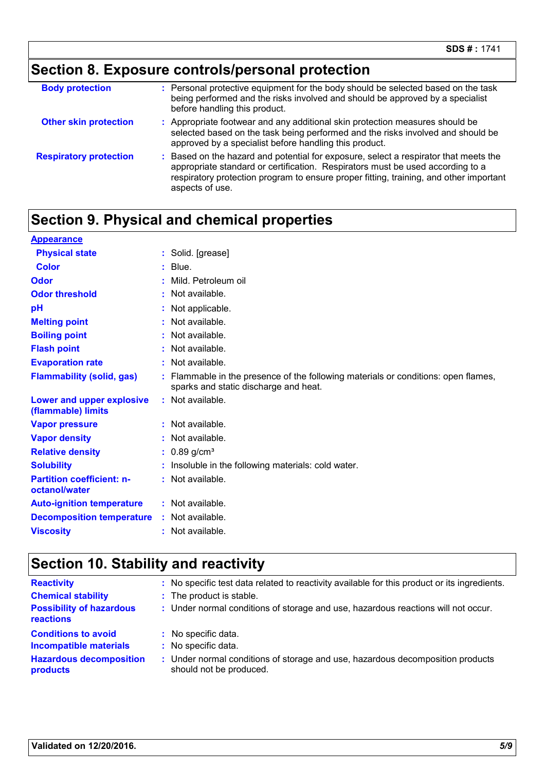# **Section 8. Exposure controls/personal protection**

| <b>Body protection</b>        | : Personal protective equipment for the body should be selected based on the task<br>being performed and the risks involved and should be approved by a specialist<br>before handling this product.                                                                                 |
|-------------------------------|-------------------------------------------------------------------------------------------------------------------------------------------------------------------------------------------------------------------------------------------------------------------------------------|
| <b>Other skin protection</b>  | : Appropriate footwear and any additional skin protection measures should be<br>selected based on the task being performed and the risks involved and should be<br>approved by a specialist before handling this product.                                                           |
| <b>Respiratory protection</b> | : Based on the hazard and potential for exposure, select a respirator that meets the<br>appropriate standard or certification. Respirators must be used according to a<br>respiratory protection program to ensure proper fitting, training, and other important<br>aspects of use. |

### **Section 9. Physical and chemical properties**

| <b>Appearance</b>                                 |                                                                                                                             |
|---------------------------------------------------|-----------------------------------------------------------------------------------------------------------------------------|
| <b>Physical state</b>                             | : Solid. [grease]                                                                                                           |
| Color                                             | Blue.                                                                                                                       |
| Odor                                              | Mild. Petroleum oil                                                                                                         |
| <b>Odor threshold</b>                             | $:$ Not available.                                                                                                          |
| pH                                                | Not applicable.                                                                                                             |
| <b>Melting point</b>                              | $:$ Not available.                                                                                                          |
| <b>Boiling point</b>                              | : Not available.                                                                                                            |
| <b>Flash point</b>                                | $:$ Not available.                                                                                                          |
| <b>Evaporation rate</b>                           | : Not available.                                                                                                            |
| <b>Flammability (solid, gas)</b>                  | : Flammable in the presence of the following materials or conditions: open flames,<br>sparks and static discharge and heat. |
| Lower and upper explosive<br>(flammable) limits   | $:$ Not available.                                                                                                          |
| <b>Vapor pressure</b>                             | : Not available.                                                                                                            |
| <b>Vapor density</b>                              | $:$ Not available.                                                                                                          |
| <b>Relative density</b>                           | $: 0.89$ g/cm <sup>3</sup>                                                                                                  |
| <b>Solubility</b>                                 | Insoluble in the following materials: cold water.                                                                           |
| <b>Partition coefficient: n-</b><br>octanol/water | : Not available.                                                                                                            |
| <b>Auto-ignition temperature</b>                  | : Not available.                                                                                                            |
| <b>Decomposition temperature</b>                  | : Not available.                                                                                                            |
| <b>Viscosity</b>                                  | : Not available.                                                                                                            |

### **Section 10. Stability and reactivity**

| <b>Reactivity</b><br><b>Chemical stability</b><br><b>Possibility of hazardous</b><br>reactions            | : No specific test data related to reactivity available for this product or its ingredients.<br>: The product is stable.<br>: Under normal conditions of storage and use, hazardous reactions will not occur. |
|-----------------------------------------------------------------------------------------------------------|---------------------------------------------------------------------------------------------------------------------------------------------------------------------------------------------------------------|
| <b>Conditions to avoid</b><br><b>Incompatible materials</b><br><b>Hazardous decomposition</b><br>products | : No specific data.<br>: No specific data.<br>Under normal conditions of storage and use, hazardous decomposition products<br><b>E</b> 1<br>should not be produced.                                           |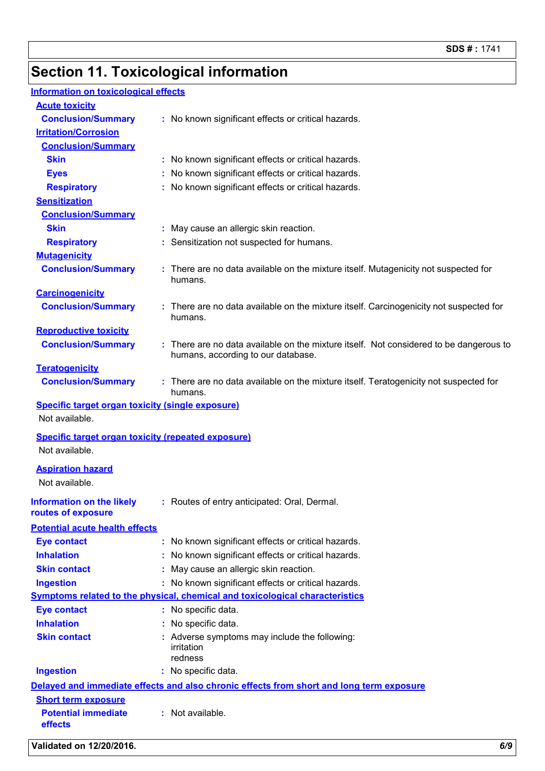## **Section 11. Toxicological information**

#### **Information on toxicological effects**

| <b>Acute toxicity</b>                                                     |                                                                                                                            |
|---------------------------------------------------------------------------|----------------------------------------------------------------------------------------------------------------------------|
| <b>Conclusion/Summary</b>                                                 | : No known significant effects or critical hazards.                                                                        |
| <b>Irritation/Corrosion</b>                                               |                                                                                                                            |
| <b>Conclusion/Summary</b>                                                 |                                                                                                                            |
| <b>Skin</b>                                                               | : No known significant effects or critical hazards.                                                                        |
| <b>Eyes</b>                                                               | No known significant effects or critical hazards.                                                                          |
| <b>Respiratory</b>                                                        | No known significant effects or critical hazards.                                                                          |
| <b>Sensitization</b>                                                      |                                                                                                                            |
| <b>Conclusion/Summary</b>                                                 |                                                                                                                            |
| <b>Skin</b>                                                               | May cause an allergic skin reaction.                                                                                       |
| <b>Respiratory</b>                                                        | Sensitization not suspected for humans.                                                                                    |
| <b>Mutagenicity</b>                                                       |                                                                                                                            |
| <b>Conclusion/Summary</b>                                                 | : There are no data available on the mixture itself. Mutagenicity not suspected for<br>humans.                             |
| <b>Carcinogenicity</b>                                                    |                                                                                                                            |
| <b>Conclusion/Summary</b>                                                 | There are no data available on the mixture itself. Carcinogenicity not suspected for<br>humans.                            |
| <b>Reproductive toxicity</b>                                              |                                                                                                                            |
| <b>Conclusion/Summary</b>                                                 | There are no data available on the mixture itself. Not considered to be dangerous to<br>humans, according to our database. |
| <b>Teratogenicity</b>                                                     |                                                                                                                            |
| <b>Conclusion/Summary</b>                                                 | : There are no data available on the mixture itself. Teratogenicity not suspected for<br>humans.                           |
| <b>Specific target organ toxicity (single exposure)</b><br>Not available. |                                                                                                                            |
| <b>Specific target organ toxicity (repeated exposure)</b>                 |                                                                                                                            |
| Not available.                                                            |                                                                                                                            |
| <b>Aspiration hazard</b>                                                  |                                                                                                                            |
| Not available.                                                            |                                                                                                                            |
| <b>Information on the likely</b><br>routes of exposure                    | : Routes of entry anticipated: Oral, Dermal.                                                                               |
| <b>Potential acute health effects</b>                                     |                                                                                                                            |
| <b>Eye contact</b>                                                        | : No known significant effects or critical hazards.                                                                        |
| <b>Inhalation</b>                                                         | No known significant effects or critical hazards.                                                                          |
| <b>Skin contact</b>                                                       | May cause an allergic skin reaction.                                                                                       |
| <b>Ingestion</b>                                                          | : No known significant effects or critical hazards.                                                                        |
|                                                                           | <b>Symptoms related to the physical, chemical and toxicological characteristics</b>                                        |
| <b>Eye contact</b>                                                        | : No specific data.                                                                                                        |
| <b>Inhalation</b>                                                         | No specific data.                                                                                                          |
| <b>Skin contact</b>                                                       | Adverse symptoms may include the following:<br>irritation<br>redness                                                       |
| <b>Ingestion</b>                                                          | : No specific data.                                                                                                        |
|                                                                           | Delayed and immediate effects and also chronic effects from short and long term exposure                                   |
| <b>Short term exposure</b>                                                |                                                                                                                            |
| <b>Potential immediate</b><br>effects                                     | : Not available.                                                                                                           |
|                                                                           |                                                                                                                            |

**Validated on 12/20/2016.** *6/9*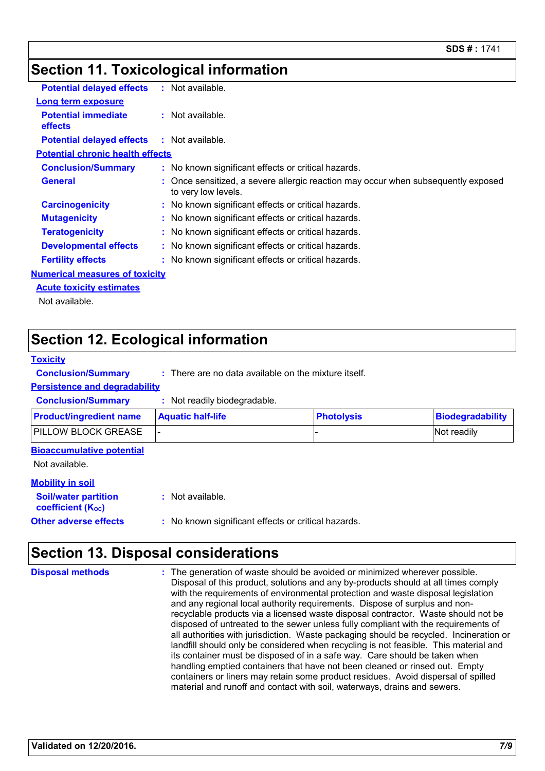#### **Section 11. Toxicological information**

| <b>Potential delayed effects</b>             | : Not available.                                                                                         |
|----------------------------------------------|----------------------------------------------------------------------------------------------------------|
| <b>Long term exposure</b>                    |                                                                                                          |
| <b>Potential immediate</b><br><b>effects</b> | $:$ Not available.                                                                                       |
| <b>Potential delayed effects</b>             | $:$ Not available.                                                                                       |
| <b>Potential chronic health effects</b>      |                                                                                                          |
| <b>Conclusion/Summary</b>                    | : No known significant effects or critical hazards.                                                      |
| <b>General</b>                               | : Once sensitized, a severe allergic reaction may occur when subsequently exposed<br>to very low levels. |
| <b>Carcinogenicity</b>                       | : No known significant effects or critical hazards.                                                      |
| <b>Mutagenicity</b>                          | : No known significant effects or critical hazards.                                                      |
| <b>Teratogenicity</b>                        | : No known significant effects or critical hazards.                                                      |
| <b>Developmental effects</b>                 | : No known significant effects or critical hazards.                                                      |
| <b>Fertility effects</b>                     | : No known significant effects or critical hazards.                                                      |
| <b>Numerical measures of toxicity</b>        |                                                                                                          |
| <b>Acute toxicity estimates</b>              |                                                                                                          |
| Not available.                               |                                                                                                          |

#### **Section 12. Ecological information**

#### **Toxicity**

**Conclusion/Summary :** There are no data available on the mixture itself.

#### **Persistence and degradability**

**Conclusion/Summary :** Not readily biodegradable.

| <b>Product/ingredient name</b>                          | <b>Aquatic half-life</b>                            | <b>Photolysis</b> | <b>Biodegradability</b> |
|---------------------------------------------------------|-----------------------------------------------------|-------------------|-------------------------|
| PILLOW BLOCK GREASE                                     |                                                     |                   | Not readily             |
| <b>Bioaccumulative potential</b><br>Not available.      |                                                     |                   |                         |
| <b>Mobility in soil</b>                                 |                                                     |                   |                         |
| <b>Soil/water partition</b><br><b>coefficient (Koc)</b> | $:$ Not available.                                  |                   |                         |
| <b>Other adverse effects</b>                            | : No known significant effects or critical hazards. |                   |                         |

#### **Section 13. Disposal considerations**

The generation of waste should be avoided or minimized wherever possible. Disposal of this product, solutions and any by-products should at all times comply with the requirements of environmental protection and waste disposal legislation and any regional local authority requirements. Dispose of surplus and nonrecyclable products via a licensed waste disposal contractor. Waste should not be disposed of untreated to the sewer unless fully compliant with the requirements of all authorities with jurisdiction. Waste packaging should be recycled. Incineration or landfill should only be considered when recycling is not feasible. This material and its container must be disposed of in a safe way. Care should be taken when handling emptied containers that have not been cleaned or rinsed out. Empty containers or liners may retain some product residues. Avoid dispersal of spilled material and runoff and contact with soil, waterways, drains and sewers. **Disposal methods :**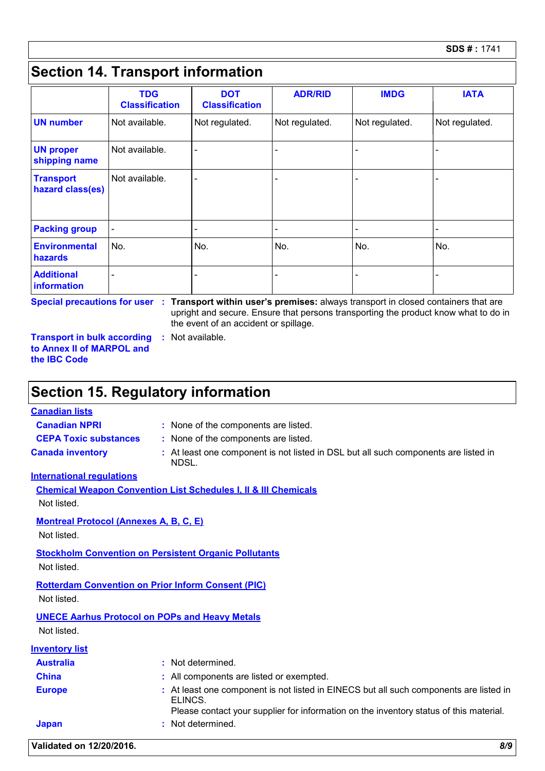### **Section 14. Transport information**

|                                      | <b>TDG</b><br><b>Classification</b> | <b>DOT</b><br><b>Classification</b> | <b>ADR/RID</b>           | <b>IMDG</b>    | <b>IATA</b>    |
|--------------------------------------|-------------------------------------|-------------------------------------|--------------------------|----------------|----------------|
| <b>UN number</b>                     | Not available.                      | Not regulated.                      | Not regulated.           | Not regulated. | Not regulated. |
| <b>UN proper</b><br>shipping name    | Not available.                      |                                     | $\overline{\phantom{0}}$ |                |                |
| <b>Transport</b><br>hazard class(es) | Not available.                      |                                     | $\overline{\phantom{0}}$ |                |                |
| <b>Packing group</b>                 | $\overline{\phantom{a}}$            |                                     | $\overline{\phantom{0}}$ |                |                |
| <b>Environmental</b><br>hazards      | No.                                 | No.                                 | No.                      | No.            | No.            |
| <b>Additional</b><br>information     |                                     |                                     |                          |                |                |

**Special precautions for user Transport within user's premises:** always transport in closed containers that are **:** upright and secure. Ensure that persons transporting the product know what to do in the event of an accident or spillage.

**Transport in bulk according to Annex II of MARPOL and the IBC Code :** Not available.

#### **Section 15. Regulatory information**

**Canadian lists**

- **Canadian NPRI :** None of the components are listed.
- **CEPA Toxic substances :** None of the components are listed.
	-
- 
- 
- **Canada inventory :** At least one component is not listed in DSL but all such components are listed in NDSL.

#### **International regulations**

| <b>Chemical Weapon Convention List Schedules I. II &amp; III Chemicals</b> |  |
|----------------------------------------------------------------------------|--|
| Not listed.                                                                |  |
| <b>Montreal Protocol (Annexes A. B. C. E)</b>                              |  |
| Not listed.                                                                |  |

### **Stockholm Convention on Persistent Organic Pollutants**

Not listed.

#### **Rotterdam Convention on Prior Inform Consent (PIC)** Not listed.

**UNECE Aarhus Protocol on POPs and Heavy Metals**

Not listed.

| <b>Inventory list</b> |                                                                                                                                                                                             |
|-----------------------|---------------------------------------------------------------------------------------------------------------------------------------------------------------------------------------------|
| <b>Australia</b>      | : Not determined.                                                                                                                                                                           |
| <b>China</b>          | : All components are listed or exempted.                                                                                                                                                    |
| <b>Europe</b>         | : At least one component is not listed in EINECS but all such components are listed in<br>ELINCS.<br>Please contact your supplier for information on the inventory status of this material. |
| <b>Japan</b>          | : Not determined.                                                                                                                                                                           |
|                       |                                                                                                                                                                                             |

**Validated on 12/20/2016.** *8/9*